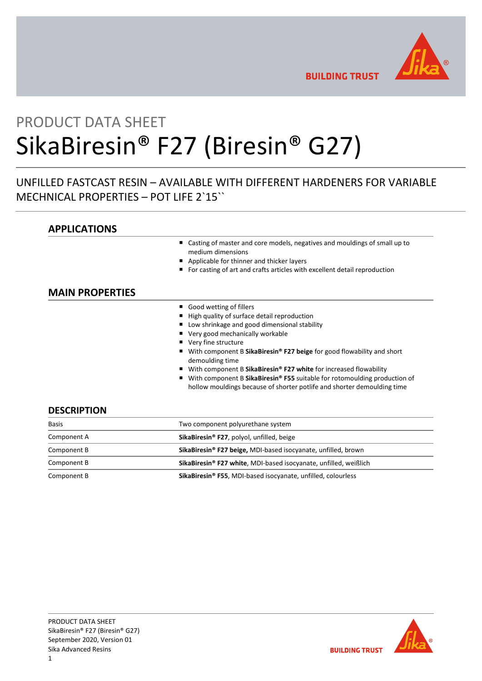

**BUILDING TRUST** 

# PRODUCT DATA SHEET SikaBiresin® F27 (Biresin® G27)

## UNFILLED FASTCAST RESIN – AVAILABLE WITH DIFFERENT HARDENERS FOR VARIABLE MECHNICAL PROPERTIES – POT LIFE 2`15``

## **APPLICATIONS**

- Casting of master and core models, negatives and mouldings of small up to medium dimensions
- Applicable for thinner and thicker layers
- For casting of art and crafts articles with excellent detail reproduction

## **MAIN PROPERTIES**

- Good wetting of fillers
- High quality of surface detail reproduction
- Low shrinkage and good dimensional stability
- Very good mechanically workable
- Very fine structure
- With component B SikaBiresin<sup>®</sup> F27 beige for good flowability and short demoulding time
- With component B SikaBiresin<sup>®</sup> F27 white for increased flowability
- With component B SikaBiresin<sup>®</sup> F55 suitable for rotomoulding production of hollow mouldings because of shorter potlife and shorter demoulding time

## **DESCRIPTION**

| <b>Basis</b> | Two component polyurethane system                                            |  |
|--------------|------------------------------------------------------------------------------|--|
| Component A  | SikaBiresin <sup>®</sup> F27, polyol, unfilled, beige                        |  |
| Component B  | SikaBiresin <sup>®</sup> F27 beige, MDI-based isocyanate, unfilled, brown    |  |
| Component B  | SikaBiresin <sup>®</sup> F27 white, MDI-based isocyanate, unfilled, weißlich |  |
| Component B  | SikaBiresin <sup>®</sup> F55, MDI-based isocyanate, unfilled, colourless     |  |

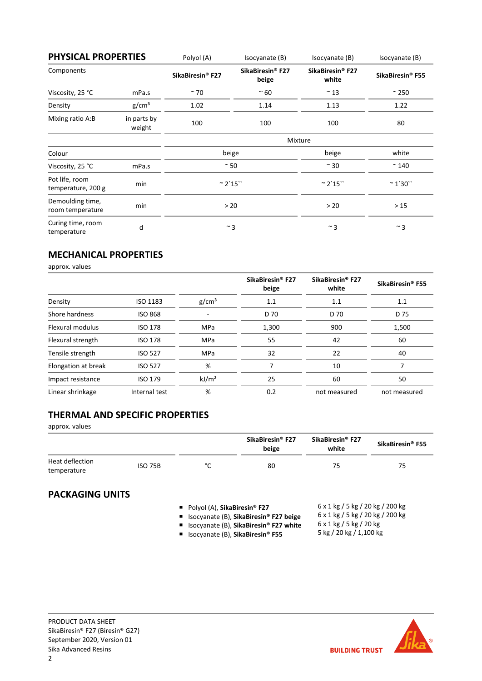| <b>PHYSICAL PROPERTIES</b>           |                       | Polyol (A)                   | Isocyanate (B)                        | Isocyanate (B)                        | Isocyanate (B)               |
|--------------------------------------|-----------------------|------------------------------|---------------------------------------|---------------------------------------|------------------------------|
| Components                           |                       | SikaBiresin <sup>®</sup> F27 | SikaBiresin <sup>®</sup> F27<br>beige | SikaBiresin <sup>®</sup> F27<br>white | SikaBiresin <sup>®</sup> F55 |
| Viscosity, 25 °C                     | mPa.s                 | $~\sim$ 70                   | $~\sim$ 60                            | $~^{\sim}$ 13                         | $\approx$ 250                |
| Density                              | g/cm <sup>3</sup>     | 1.02                         | 1.14                                  | 1.13                                  | 1.22                         |
| Mixing ratio A:B                     | in parts by<br>weight | 100                          | 100                                   | 100                                   | 80                           |
|                                      |                       |                              |                                       | Mixture                               |                              |
| Colour                               |                       |                              | beige                                 | beige                                 | white                        |
| Viscosity, 25 °C                     | mPa.s                 | $~\sim$ 50                   |                                       | $\sim$ 30                             | $~^{\sim}$ 140               |
| Pot life, room<br>temperature, 200 g | min                   | $^{\sim}$ 2`15``             |                                       | $^{\sim}$ 2`15``                      | $~^{\sim}$ 1'30 $^{\circ}$   |
| Demoulding time,<br>room temperature | min                   | > 20                         |                                       | > 20                                  | $>15$                        |
| Curing time, room<br>temperature     | d                     | $~\sim$ 3                    |                                       | $~^{\sim}$ 3                          | $~^{\sim}$ 3                 |

## **MECHANICAL PROPERTIES**

approx. values

|                     |                 |                   | SikaBiresin <sup>®</sup> F27<br>beige | SikaBiresin <sup>®</sup> F27<br>white | SikaBiresin <sup>®</sup> F55 |
|---------------------|-----------------|-------------------|---------------------------------------|---------------------------------------|------------------------------|
| Density             | <b>ISO 1183</b> | g/cm <sup>3</sup> | 1.1                                   | 1.1                                   | 1.1                          |
| Shore hardness      | <b>ISO 868</b>  |                   | D 70                                  | D 70                                  | D 75                         |
| Flexural modulus    | <b>ISO 178</b>  | <b>MPa</b>        | 1,300                                 | 900                                   | 1,500                        |
| Flexural strength   | <b>ISO 178</b>  | <b>MPa</b>        | 55                                    | 42                                    | 60                           |
| Tensile strength    | <b>ISO 527</b>  | <b>MPa</b>        | 32                                    | 22                                    | 40                           |
| Elongation at break | <b>ISO 527</b>  | %                 |                                       | 10                                    |                              |
| Impact resistance   | <b>ISO 179</b>  | kJ/m <sup>2</sup> | 25                                    | 60                                    | 50                           |
| Linear shrinkage    | Internal test   | %                 | 0.2                                   | not measured                          | not measured                 |

## **THERMAL AND SPECIFIC PROPERTIES**

approx. values

|                                |                |        | SikaBiresin <sup>®</sup> F27<br>beige | SikaBiresin <sup>®</sup> F27<br>white | SikaBiresin <sup>®</sup> F55 |
|--------------------------------|----------------|--------|---------------------------------------|---------------------------------------|------------------------------|
| Heat deflection<br>temperature | <b>ISO 75B</b> | $\sim$ | 80                                    | 75                                    | 75                           |

## **PACKAGING UNITS**

■ Polyol (A), **SikaBiresin<sup>®</sup> F27** 

- Isocyanate (B), **SikaBiresin® F27 beige**
- 6 x 1 kg / 5 kg / 20 kg / 200 kg 6 x 1 kg / 5 kg / 20 kg

5 kg / 20 kg / 1,100 kg

6 x 1 kg / 5 kg / 20 kg / 200 kg

■ Isocyanate (B), SikaBiresin<sup>®</sup> F27 white ■ Isocyanate (B), **SikaBiresin<sup>®</sup> F55** 

PRODUCT DATA SHEET SikaBiresin® F27 (Biresin® G27) September 2020, Version 01 Sika Advanced Resins 2

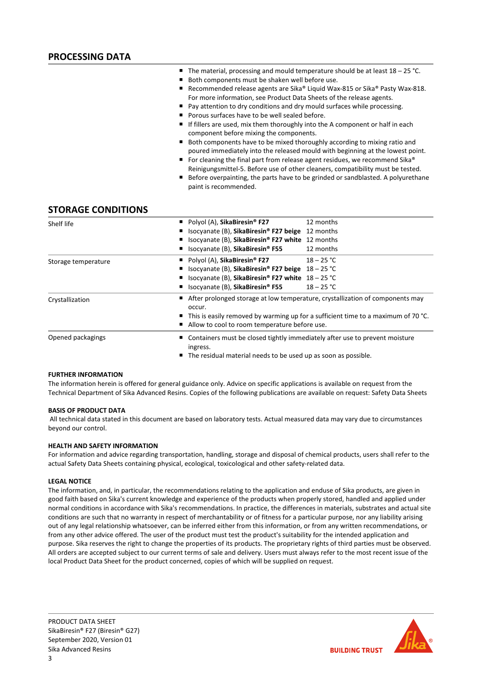- The material, processing and mould temperature should be at least 18 25 °C.
- Both components must be shaken well before use.
- Recommended release agents are Sika® Liquid Wax-815 or Sika® Pasty Wax-818. For more information, see Product Data Sheets of the release agents.
- Pay attention to dry conditions and dry mould surfaces while processing.
- **Porous surfaces have to be well sealed before.**
- If fillers are used, mix them thoroughly into the A component or half in each component before mixing the components.
- Both components have to be mixed thoroughly according to mixing ratio and poured immediately into the released mould with beginning at the lowest point.
- For cleaning the final part from release agent residues, we recommend Sika® Reinigungsmittel-5. Before use of other cleaners, compatibility must be tested.
- Before overpainting, the parts have to be grinded or sandblasted. A polyurethane paint is recommended.

## **STORAGE CONDITIONS**

| Shelf life          | Polyol (A), SikaBiresin <sup>®</sup> F27<br>12 months                                            |  |
|---------------------|--------------------------------------------------------------------------------------------------|--|
|                     | Isocyanate (B), SikaBiresin® F27 beige<br>12 months                                              |  |
|                     | Isocyanate (B), SikaBiresin® F27 white 12 months                                                 |  |
|                     | 12 months<br>Isocyanate (B), SikaBiresin <sup>®</sup> F55                                        |  |
| Storage temperature | Polyol (A), SikaBiresin <sup>®</sup> F27<br>$18 - 25 °C$                                         |  |
|                     | Isocyanate (B), SikaBiresin <sup>®</sup> F27 beige $18-25$ °C                                    |  |
|                     | Isocyanate (B), SikaBiresin® F27 white $18-25$ °C                                                |  |
|                     | Isocyanate (B), SikaBiresin <sup>®</sup> F55<br>$18 - 25 °C$                                     |  |
| Crystallization     | ■ After prolonged storage at low temperature, crystallization of components may<br>occur.        |  |
|                     | $\blacksquare$ This is easily removed by warming up for a sufficient time to a maximum of 70 °C. |  |
|                     | Allow to cool to room temperature before use.                                                    |  |
| Opened packagings   | Containers must be closed tightly immediately after use to prevent moisture<br>ingress.          |  |
|                     | The residual material needs to be used up as soon as possible.                                   |  |

#### **FURTHER INFORMATION**

The information herein is offered for general guidance only. Advice on specific applications is available on request from the Technical Department of Sika Advanced Resins. Copies of the following publications are available on request: Safety Data Sheets

#### **BASIS OF PRODUCT DATA**

All technical data stated in this document are based on laboratory tests. Actual measured data may vary due to circumstances beyond our control.

#### **HEALTH AND SAFETY INFORMATION**

For information and advice regarding transportation, handling, storage and disposal of chemical products, users shall refer to the actual Safety Data Sheets containing physical, ecological, toxicological and other safety-related data.

#### **LEGAL NOTICE**

The information, and, in particular, the recommendations relating to the application and enduse of Sika products, are given in good faith based on Sika's current knowledge and experience of the products when properly stored, handled and applied under normal conditions in accordance with Sika's recommendations. In practice, the differences in materials, substrates and actual site conditions are such that no warranty in respect of merchantability or of fitness for a particular purpose, nor any liability arising out of any legal relationship whatsoever, can be inferred either from this information, or from any written recommendations, or from any other advice offered. The user of the product must test the product's suitability for the intended application and purpose. Sika reserves the right to change the properties of its products. The proprietary rights of third parties must be observed. All orders are accepted subject to our current terms of sale and delivery. Users must always refer to the most recent issue of the local Product Data Sheet for the product concerned, copies of which will be supplied on request.